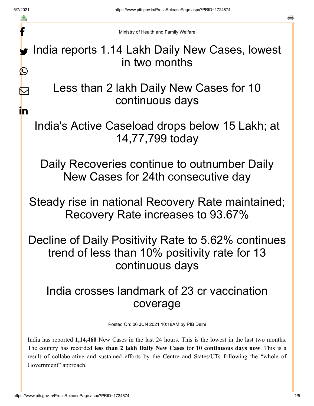f

 $\nabla$ 

in

s.

Ministry of Health and Family Welfare

India reports 1.14 Lakh Daily New Cases, lowest in two months  $\bigcirc$ 

> Less than 2 lakh Daily New Cases for 10 continuous days

India's Active Caseload drops below 15 Lakh; at 14,77,799 today

Daily Recoveries continue to outnumber Daily New Cases for 24th consecutive day

Steady rise in national Recovery Rate maintained; Recovery Rate increases to 93.67%

Decline of Daily Positivity Rate to 5.62% continues trend of less than 10% positivity rate for 13 continuous days

## India crosses landmark of 23 cr vaccination coverage

Posted On: 06 JUN 2021 10:18AM by PIB Delhi

India has reported **1,14,460** New Cases in the last 24 hours. This is the lowest in the last two months. The country has recorded **less than 2 lakh Daily New Cases** for **10 continuous days now**. This is a result of collaborative and sustained efforts by the Centre and States/UTs following the "whole of Government" approach.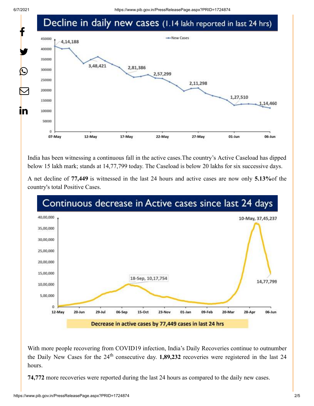

India has been witnessing a continuous fall in the active cases.The country's Active Caseload has dipped below 15 lakh mark; stands at 14,77,799 today. The Caseload is below 20 lakhs for six successive days.

A net decline of **77,449** is witnessed in the last 24 hours and active cases are now only **5.13%**of the country's total Positive Cases.



With more people recovering from COVID19 infection, India's Daily Recoveries continue to outnumber the Daily New Cases for the  $24<sup>th</sup>$  consecutive day. **1,89,232** recoveries were registered in the last 24 hours.

**74,772** more recoveries were reported during the last 24 hours as compared to the daily new cases.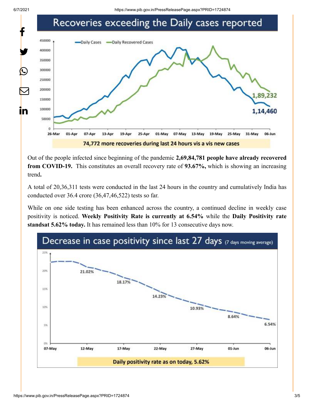



Out of the people infected since beginning of the pandemic **2,69,84,781 people have already recovered from COVID-19.** This constitutes an overall recovery rate of **93.67%,** which is showing an increasing trend**.**

A total of 20,36,311 tests were conducted in the last 24 hours in the country and cumulatively India has conducted over 36.4 crore (36,47,46,522) tests so far.

While on one side testing has been enhanced across the country, a continued decline in weekly case positivity is noticed. **Weekly Positivity Rate is currently at 6.54%** while the **Daily Positivity rate standsat 5.62% today.** It has remained less than 10% for 13 consecutive days now.

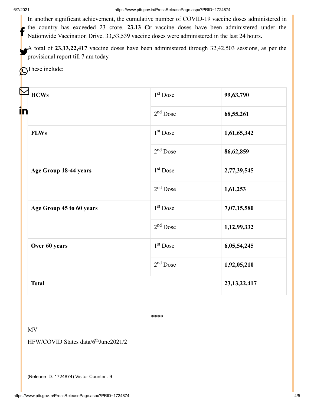6/7/2021 https://www.pib.gov.in/PressReleasePage.aspx?PRID=1724874

In another significant achievement, the cumulative number of COVID-19 vaccine doses administered in the country has exceeded 23 crore. **23.13 Cr** vaccine doses have been administered under the Nationwide Vaccination Drive. 33,53,539 vaccine doses were administered in the last 24 hours. f

A total of **23,13,22,417** vaccine doses have been administered through 32,42,503 sessions, as per the  $\sum_{\text{provisional report till 7 am today.}}$ 

**O**These include:

| <b>HCWs</b>              |  | $1st$ Dose | 99,63,790       |
|--------------------------|--|------------|-----------------|
| in                       |  | $2nd$ Dose | 68,55,261       |
| <b>FLWs</b>              |  | $1st$ Dose | 1,61,65,342     |
|                          |  | $2nd$ Dose | 86,62,859       |
| Age Group 18-44 years    |  | $1st$ Dose | 2,77,39,545     |
|                          |  | $2nd$ Dose | 1,61,253        |
| Age Group 45 to 60 years |  | $1st$ Dose | 7,07,15,580     |
|                          |  | $2nd$ Dose | 1,12,99,332     |
| Over 60 years            |  | $1st$ Dose | 6,05,54,245     |
|                          |  | $2nd$ Dose | 1,92,05,210     |
| <b>Total</b>             |  |            | 23, 13, 22, 417 |

\*\*\*\*

MV

HFW/COVID States data/6<sup>th</sup>June2021/2

(Release ID: 1724874) Visitor Counter : 9